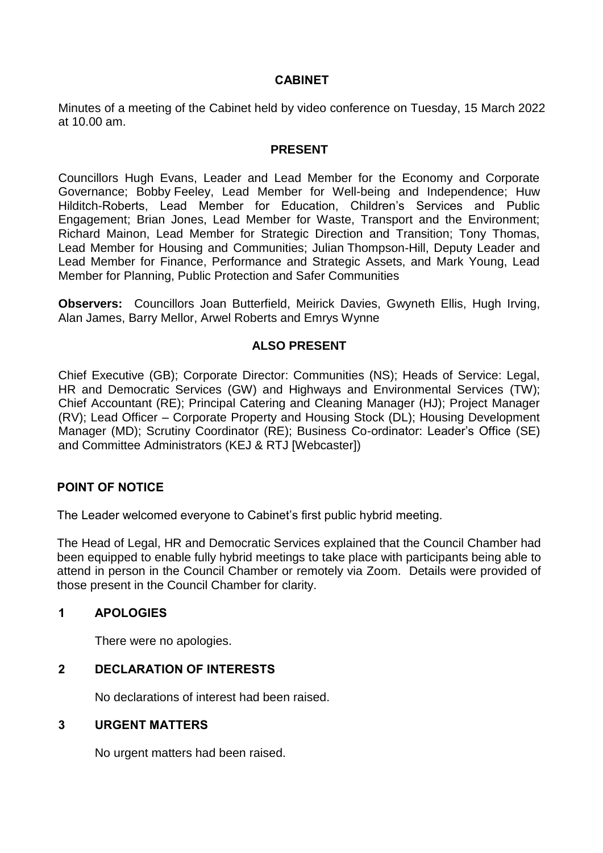# **CABINET**

Minutes of a meeting of the Cabinet held by video conference on Tuesday, 15 March 2022 at 10.00 am.

## **PRESENT**

Councillors Hugh Evans, Leader and Lead Member for the Economy and Corporate Governance; Bobby Feeley, Lead Member for Well-being and Independence; Huw Hilditch-Roberts, Lead Member for Education, Children's Services and Public Engagement; Brian Jones, Lead Member for Waste, Transport and the Environment; Richard Mainon, Lead Member for Strategic Direction and Transition; Tony Thomas, Lead Member for Housing and Communities; Julian Thompson-Hill, Deputy Leader and Lead Member for Finance, Performance and Strategic Assets, and Mark Young, Lead Member for Planning, Public Protection and Safer Communities

**Observers:** Councillors Joan Butterfield, Meirick Davies, Gwyneth Ellis, Hugh Irving, Alan James, Barry Mellor, Arwel Roberts and Emrys Wynne

## **ALSO PRESENT**

Chief Executive (GB); Corporate Director: Communities (NS); Heads of Service: Legal, HR and Democratic Services (GW) and Highways and Environmental Services (TW); Chief Accountant (RE); Principal Catering and Cleaning Manager (HJ); Project Manager (RV); Lead Officer – Corporate Property and Housing Stock (DL); Housing Development Manager (MD); Scrutiny Coordinator (RE); Business Co-ordinator: Leader's Office (SE) and Committee Administrators (KEJ & RTJ [Webcaster])

## **POINT OF NOTICE**

The Leader welcomed everyone to Cabinet's first public hybrid meeting.

The Head of Legal, HR and Democratic Services explained that the Council Chamber had been equipped to enable fully hybrid meetings to take place with participants being able to attend in person in the Council Chamber or remotely via Zoom. Details were provided of those present in the Council Chamber for clarity.

## **1 APOLOGIES**

There were no apologies.

## **2 DECLARATION OF INTERESTS**

No declarations of interest had been raised.

#### **3 URGENT MATTERS**

No urgent matters had been raised.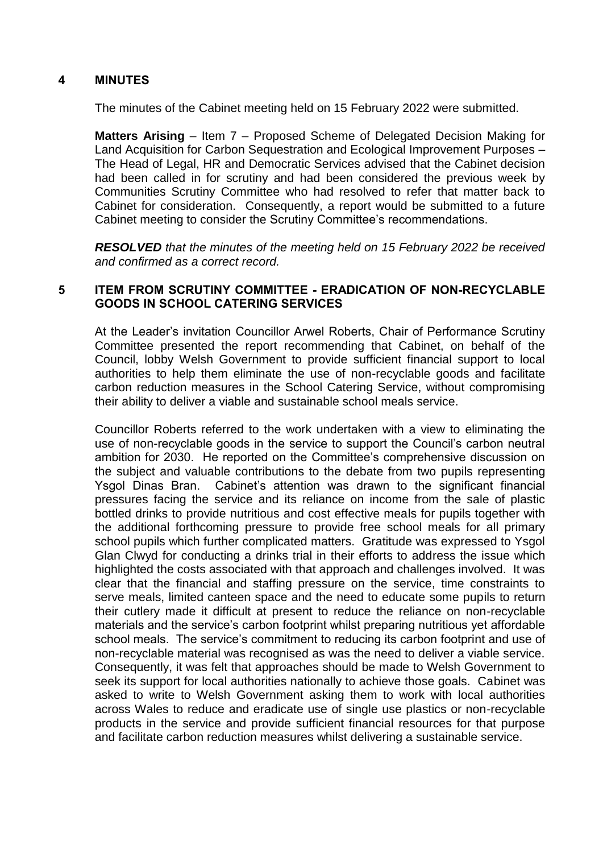# **4 MINUTES**

The minutes of the Cabinet meeting held on 15 February 2022 were submitted.

**Matters Arising** – Item 7 – Proposed Scheme of Delegated Decision Making for Land Acquisition for Carbon Sequestration and Ecological Improvement Purposes – The Head of Legal, HR and Democratic Services advised that the Cabinet decision had been called in for scrutiny and had been considered the previous week by Communities Scrutiny Committee who had resolved to refer that matter back to Cabinet for consideration. Consequently, a report would be submitted to a future Cabinet meeting to consider the Scrutiny Committee's recommendations.

*RESOLVED that the minutes of the meeting held on 15 February 2022 be received and confirmed as a correct record.*

# **5 ITEM FROM SCRUTINY COMMITTEE - ERADICATION OF NON-RECYCLABLE GOODS IN SCHOOL CATERING SERVICES**

At the Leader's invitation Councillor Arwel Roberts, Chair of Performance Scrutiny Committee presented the report recommending that Cabinet, on behalf of the Council, lobby Welsh Government to provide sufficient financial support to local authorities to help them eliminate the use of non-recyclable goods and facilitate carbon reduction measures in the School Catering Service, without compromising their ability to deliver a viable and sustainable school meals service.

Councillor Roberts referred to the work undertaken with a view to eliminating the use of non-recyclable goods in the service to support the Council's carbon neutral ambition for 2030. He reported on the Committee's comprehensive discussion on the subject and valuable contributions to the debate from two pupils representing Ysgol Dinas Bran. Cabinet's attention was drawn to the significant financial pressures facing the service and its reliance on income from the sale of plastic bottled drinks to provide nutritious and cost effective meals for pupils together with the additional forthcoming pressure to provide free school meals for all primary school pupils which further complicated matters. Gratitude was expressed to Ysgol Glan Clwyd for conducting a drinks trial in their efforts to address the issue which highlighted the costs associated with that approach and challenges involved. It was clear that the financial and staffing pressure on the service, time constraints to serve meals, limited canteen space and the need to educate some pupils to return their cutlery made it difficult at present to reduce the reliance on non-recyclable materials and the service's carbon footprint whilst preparing nutritious yet affordable school meals. The service's commitment to reducing its carbon footprint and use of non-recyclable material was recognised as was the need to deliver a viable service. Consequently, it was felt that approaches should be made to Welsh Government to seek its support for local authorities nationally to achieve those goals. Cabinet was asked to write to Welsh Government asking them to work with local authorities across Wales to reduce and eradicate use of single use plastics or non-recyclable products in the service and provide sufficient financial resources for that purpose and facilitate carbon reduction measures whilst delivering a sustainable service.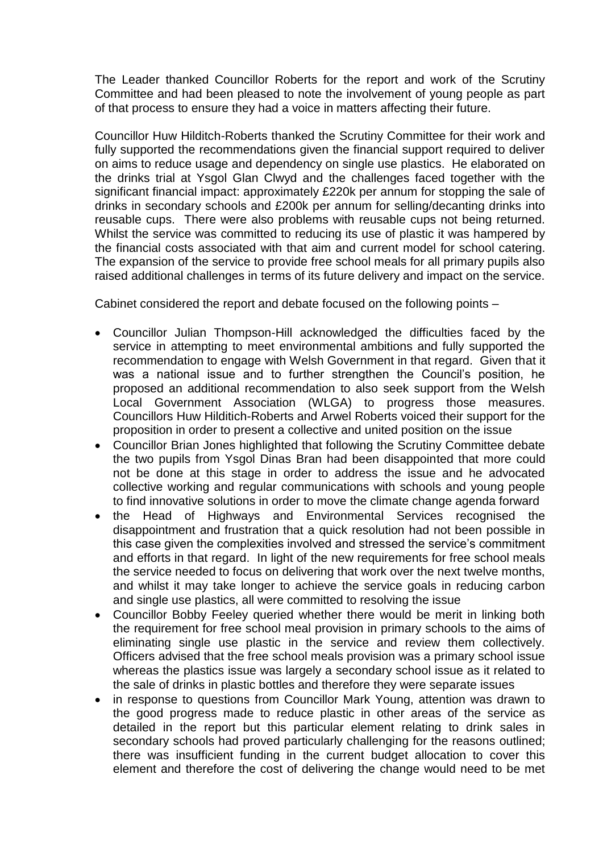The Leader thanked Councillor Roberts for the report and work of the Scrutiny Committee and had been pleased to note the involvement of young people as part of that process to ensure they had a voice in matters affecting their future.

Councillor Huw Hilditch-Roberts thanked the Scrutiny Committee for their work and fully supported the recommendations given the financial support required to deliver on aims to reduce usage and dependency on single use plastics. He elaborated on the drinks trial at Ysgol Glan Clwyd and the challenges faced together with the significant financial impact: approximately £220k per annum for stopping the sale of drinks in secondary schools and £200k per annum for selling/decanting drinks into reusable cups. There were also problems with reusable cups not being returned. Whilst the service was committed to reducing its use of plastic it was hampered by the financial costs associated with that aim and current model for school catering. The expansion of the service to provide free school meals for all primary pupils also raised additional challenges in terms of its future delivery and impact on the service.

Cabinet considered the report and debate focused on the following points –

- Councillor Julian Thompson-Hill acknowledged the difficulties faced by the service in attempting to meet environmental ambitions and fully supported the recommendation to engage with Welsh Government in that regard. Given that it was a national issue and to further strengthen the Council's position, he proposed an additional recommendation to also seek support from the Welsh Local Government Association (WLGA) to progress those measures. Councillors Huw Hilditich-Roberts and Arwel Roberts voiced their support for the proposition in order to present a collective and united position on the issue
- Councillor Brian Jones highlighted that following the Scrutiny Committee debate the two pupils from Ysgol Dinas Bran had been disappointed that more could not be done at this stage in order to address the issue and he advocated collective working and regular communications with schools and young people to find innovative solutions in order to move the climate change agenda forward
- the Head of Highways and Environmental Services recognised the disappointment and frustration that a quick resolution had not been possible in this case given the complexities involved and stressed the service's commitment and efforts in that regard. In light of the new requirements for free school meals the service needed to focus on delivering that work over the next twelve months, and whilst it may take longer to achieve the service goals in reducing carbon and single use plastics, all were committed to resolving the issue
- Councillor Bobby Feeley queried whether there would be merit in linking both the requirement for free school meal provision in primary schools to the aims of eliminating single use plastic in the service and review them collectively. Officers advised that the free school meals provision was a primary school issue whereas the plastics issue was largely a secondary school issue as it related to the sale of drinks in plastic bottles and therefore they were separate issues
- in response to questions from Councillor Mark Young, attention was drawn to the good progress made to reduce plastic in other areas of the service as detailed in the report but this particular element relating to drink sales in secondary schools had proved particularly challenging for the reasons outlined; there was insufficient funding in the current budget allocation to cover this element and therefore the cost of delivering the change would need to be met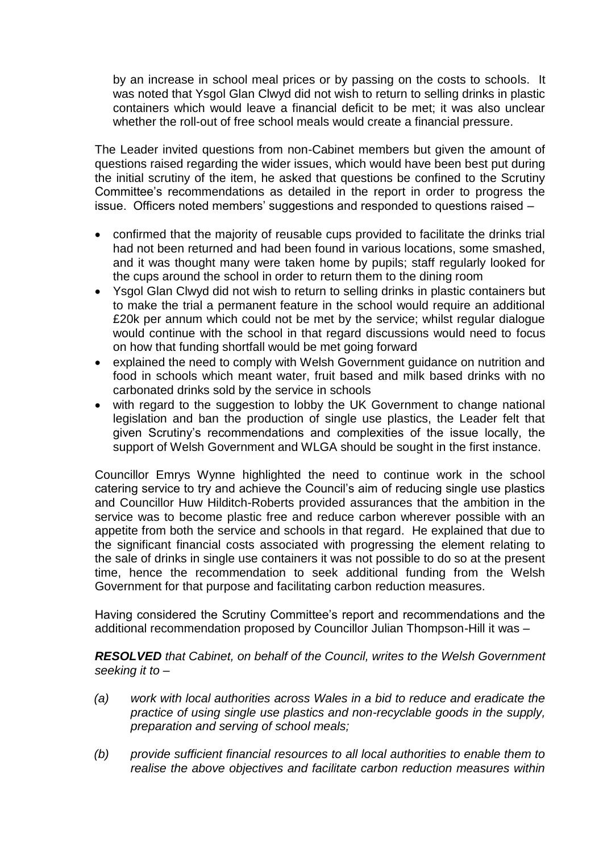by an increase in school meal prices or by passing on the costs to schools. It was noted that Ysgol Glan Clwyd did not wish to return to selling drinks in plastic containers which would leave a financial deficit to be met; it was also unclear whether the roll-out of free school meals would create a financial pressure.

The Leader invited questions from non-Cabinet members but given the amount of questions raised regarding the wider issues, which would have been best put during the initial scrutiny of the item, he asked that questions be confined to the Scrutiny Committee's recommendations as detailed in the report in order to progress the issue. Officers noted members' suggestions and responded to questions raised –

- confirmed that the majority of reusable cups provided to facilitate the drinks trial had not been returned and had been found in various locations, some smashed, and it was thought many were taken home by pupils; staff regularly looked for the cups around the school in order to return them to the dining room
- Ysgol Glan Clwyd did not wish to return to selling drinks in plastic containers but to make the trial a permanent feature in the school would require an additional £20k per annum which could not be met by the service; whilst regular dialogue would continue with the school in that regard discussions would need to focus on how that funding shortfall would be met going forward
- explained the need to comply with Welsh Government guidance on nutrition and food in schools which meant water, fruit based and milk based drinks with no carbonated drinks sold by the service in schools
- with regard to the suggestion to lobby the UK Government to change national legislation and ban the production of single use plastics, the Leader felt that given Scrutiny's recommendations and complexities of the issue locally, the support of Welsh Government and WLGA should be sought in the first instance.

Councillor Emrys Wynne highlighted the need to continue work in the school catering service to try and achieve the Council's aim of reducing single use plastics and Councillor Huw Hilditch-Roberts provided assurances that the ambition in the service was to become plastic free and reduce carbon wherever possible with an appetite from both the service and schools in that regard. He explained that due to the significant financial costs associated with progressing the element relating to the sale of drinks in single use containers it was not possible to do so at the present time, hence the recommendation to seek additional funding from the Welsh Government for that purpose and facilitating carbon reduction measures.

Having considered the Scrutiny Committee's report and recommendations and the additional recommendation proposed by Councillor Julian Thompson-Hill it was –

*RESOLVED that Cabinet, on behalf of the Council, writes to the Welsh Government seeking it to –*

- *(a) work with local authorities across Wales in a bid to reduce and eradicate the practice of using single use plastics and non-recyclable goods in the supply, preparation and serving of school meals;*
- *(b) provide sufficient financial resources to all local authorities to enable them to realise the above objectives and facilitate carbon reduction measures within*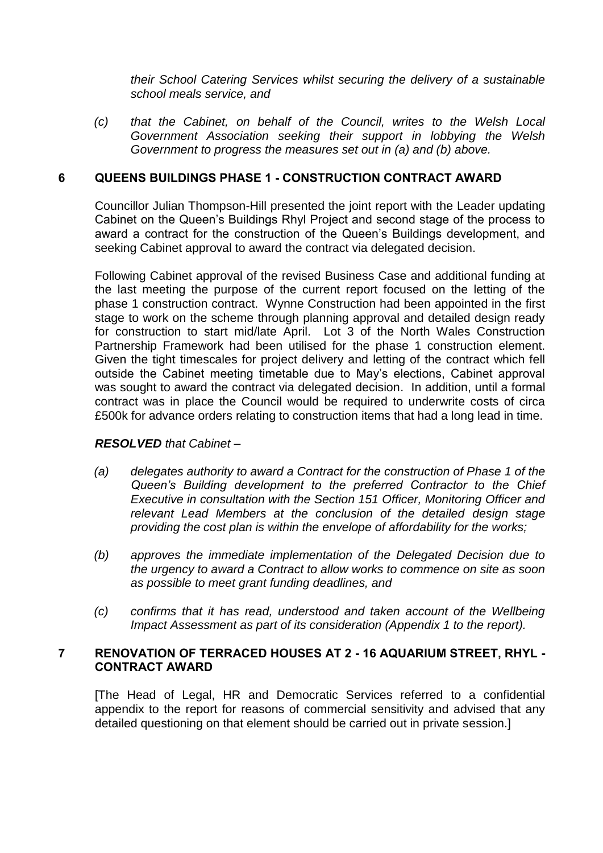*their School Catering Services whilst securing the delivery of a sustainable school meals service, and*

*(c) that the Cabinet, on behalf of the Council, writes to the Welsh Local Government Association seeking their support in lobbying the Welsh Government to progress the measures set out in (a) and (b) above.*

## **6 QUEENS BUILDINGS PHASE 1 - CONSTRUCTION CONTRACT AWARD**

Councillor Julian Thompson-Hill presented the joint report with the Leader updating Cabinet on the Queen's Buildings Rhyl Project and second stage of the process to award a contract for the construction of the Queen's Buildings development, and seeking Cabinet approval to award the contract via delegated decision.

Following Cabinet approval of the revised Business Case and additional funding at the last meeting the purpose of the current report focused on the letting of the phase 1 construction contract. Wynne Construction had been appointed in the first stage to work on the scheme through planning approval and detailed design ready for construction to start mid/late April. Lot 3 of the North Wales Construction Partnership Framework had been utilised for the phase 1 construction element. Given the tight timescales for project delivery and letting of the contract which fell outside the Cabinet meeting timetable due to May's elections, Cabinet approval was sought to award the contract via delegated decision. In addition, until a formal contract was in place the Council would be required to underwrite costs of circa £500k for advance orders relating to construction items that had a long lead in time.

## *RESOLVED that Cabinet –*

- *(a) delegates authority to award a Contract for the construction of Phase 1 of the Queen's Building development to the preferred Contractor to the Chief Executive in consultation with the Section 151 Officer, Monitoring Officer and relevant Lead Members at the conclusion of the detailed design stage providing the cost plan is within the envelope of affordability for the works;*
- *(b) approves the immediate implementation of the Delegated Decision due to the urgency to award a Contract to allow works to commence on site as soon as possible to meet grant funding deadlines, and*
- *(c) confirms that it has read, understood and taken account of the Wellbeing Impact Assessment as part of its consideration (Appendix 1 to the report).*

## **7 RENOVATION OF TERRACED HOUSES AT 2 - 16 AQUARIUM STREET, RHYL - CONTRACT AWARD**

[The Head of Legal, HR and Democratic Services referred to a confidential appendix to the report for reasons of commercial sensitivity and advised that any detailed questioning on that element should be carried out in private session.]